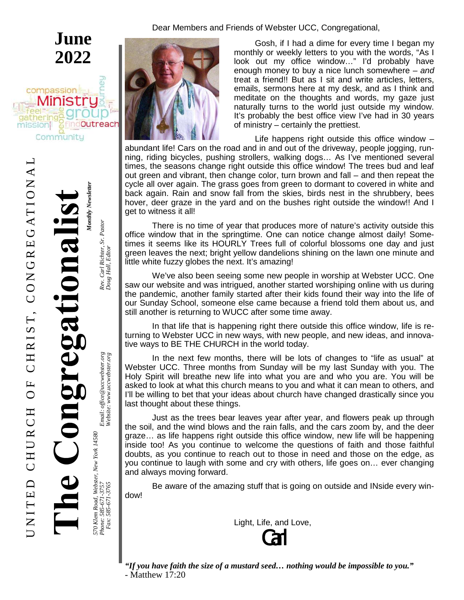$\boldsymbol{Z}$  $\overline{\phantom{0}}$  $\vdash$  $\bm{\Xi}$  $\mathsf{\Omega}$  $\cup$  $\bm{\Xi}$  $\Box$  $\boldsymbol{\varkappa}$  $\cup$  $\bm{\Xi}$ O $\mathbf{L}$  $\cup$  $\bm{\Xi}$  $\boldsymbol{\mathsf{\underline{\kappa}}}$  $\blacksquare$  $\boldsymbol{\mathcal{D}}$ T, C O $\boldsymbol{Z}$ じ  $\boldsymbol{\mathsf{\underline{\kappa}}}$  $\bm{\Xi}$ じ  $\blacktriangleleft$  $\vdash$  $\overline{\phantom{0}}$ O $\boldsymbol{Z}$ A $\mathord{\hspace{1pt}\text{--}\hspace{1pt}}$ 

 $\Box$ 

# *Monthly Newsletter* **Monthly Newsletter** cegationa

**June**

**2022**

findOutreach

compassion

 $\overline{\omega}$ Community

gatheri

mission

570 Klem Road, Webster, New York 14580<br>Phone: 585-671-3757<br>Fax: 585-671-3765 *Road, Webster, New York 14580 Phone: 585-671-3757 Email: office@uccwebster.org Rev. Carl Richter, Sr. Pastor Fax: 585-671-3765 Website: w*

Email: office@uccwebster.org<br>Website: www.uccwebster.org

*w.uccwebster.org Doug Hall, Editor*

Rev. Carl Richter, Sr. Pastor<br>Doug Hall, Editor

Dear Members and Friends of Webster UCC, Congregational,



Gosh, if I had a dime for every time I began my monthly or weekly letters to you with the words, "As I look out my office window…" I'd probably have enough money to buy a nice lunch somewhere – *and* treat a friend!! But as I sit and write articles, letters, emails, sermons here at my desk, and as I think and meditate on the thoughts and words, my gaze just naturally turns to the world just outside my window. It's probably the best office view I've had in 30 years of ministry – certainly the prettiest.

Life happens right outside this office window – abundant life! Cars on the road and in and out of the driveway, people jogging, running, riding bicycles, pushing strollers, walking dogs… As I've mentioned several times, the seasons change right outside this office window! The trees bud and leaf out green and vibrant, then change color, turn brown and fall – and then repeat the cycle all over again. The grass goes from green to dormant to covered in white and back again. Rain and snow fall from the skies, birds nest in the shrubbery, bees hover, deer graze in the yard and on the bushes right outside the window!! And I get to witness it all!

There is no time of year that produces more of nature's activity outside this office window that in the springtime. One can notice change almost daily! Sometimes it seems like its HOURLY Trees full of colorful blossoms one day and just green leaves the next; bright yellow dandelions shining on the lawn one minute and little white fuzzy globes the next. It's amazing!

We've also been seeing some new people in worship at Webster UCC. One saw our website and was intrigued, another started worshiping online with us during the pandemic, another family started after their kids found their way into the life of our Sunday School, someone else came because a friend told them about us, and still another is returning to WUCC after some time away.

In that life that is happening right there outside this office window, life is returning to Webster UCC in new ways, with new people, and new ideas, and innovative ways to BE THE CHURCH in the world today.

In the next few months, there will be lots of changes to "life as usual" at Webster UCC. Three months from Sunday will be my last Sunday with you. The Holy Spirit will breathe new life into what you are and who you are. You will be asked to look at what this church means to you and what it can mean to others, and I'll be willing to bet that your ideas about church have changed drastically since you last thought about these things.

Just as the trees bear leaves year after year, and flowers peak up through the soil, and the wind blows and the rain falls, and the cars zoom by, and the deer graze… as life happens right outside this office window, new life will be happening inside too! As you continue to welcome the questions of faith and those faithful doubts, as you continue to reach out to those in need and those on the edge, as you continue to laugh with some and cry with others, life goes on… ever changing and always moving forward.

Be aware of the amazing stuff that is going on outside and INside every window!

Light, Life, and Love,

Carl

*"If you have faith the size of a mustard seed… nothing would be impossible to you."* - Matthew 17:20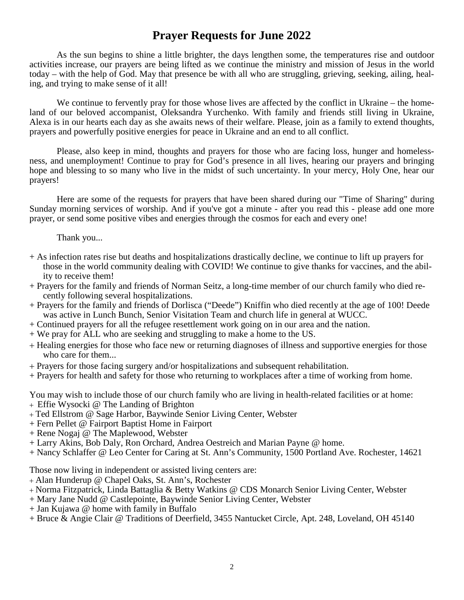## **Prayer Requests for June 2022**

As the sun begins to shine a little brighter, the days lengthen some, the temperatures rise and outdoor activities increase, our prayers are being lifted as we continue the ministry and mission of Jesus in the world today – with the help of God. May that presence be with all who are struggling, grieving, seeking, ailing, healing, and trying to make sense of it all!

We continue to fervently pray for those whose lives are affected by the conflict in Ukraine – the homeland of our beloved accompanist, Oleksandra Yurchenko. With family and friends still living in Ukraine, Alexa is in our hearts each day as she awaits news of their welfare. Please, join as a family to extend thoughts, prayers and powerfully positive energies for peace in Ukraine and an end to all conflict.

Please, also keep in mind, thoughts and prayers for those who are facing loss, hunger and homelessness, and unemployment! Continue to pray for God's presence in all lives, hearing our prayers and bringing hope and blessing to so many who live in the midst of such uncertainty. In your mercy, Holy One, hear our prayers!

Here are some of the requests for prayers that have been shared during our "Time of Sharing" during Sunday morning services of worship. And if you've got a minute - after you read this - please add one more prayer, or send some positive vibes and energies through the cosmos for each and every one!

Thank you...

- + As infection rates rise but deaths and hospitalizations drastically decline, we continue to lift up prayers for those in the world community dealing with COVID! We continue to give thanks for vaccines, and the ability to receive them!
- + Prayers for the family and friends of Norman Seitz, a long-time member of our church family who died recently following several hospitalizations.
- + Prayers for the family and friends of Dorlisca ("Deede") Kniffin who died recently at the age of 100! Deede was active in Lunch Bunch, Senior Visitation Team and church life in general at WUCC.
- + Continued prayers for all the refugee resettlement work going on in our area and the nation.
- + We pray for ALL who are seeking and struggling to make a home to the US.
- Healing energies for those who face new or returning diagnoses of illness and supportive energies for those who care for them...
- Prayers for those facing surgery and/or hospitalizations and subsequent rehabilitation.
- + Prayers for health and safety for those who returning to workplaces after a time of working from home.

You may wish to include those of our church family who are living in health-related facilities or at home:

- Effie Wysocki @ The Landing of Brighton
- Ted Ellstrom @ Sage Harbor, Baywinde Senior Living Center, Webster
- + Fern Pellet @ Fairport Baptist Home in Fairport
- + Rene Nogaj @ The Maplewood, Webster
- + Larry Akins, Bob Daly, Ron Orchard, Andrea Oestreich and Marian Payne @ home.
- + Nancy Schlaffer @ Leo Center for Caring at St. Ann's Community, 1500 Portland Ave. Rochester, 14621

Those now living in independent or assisted living centers are:

- Alan Hunderup @ Chapel Oaks, St. Ann's, Rochester
- Norma Fitzpatrick, Linda Battaglia & Betty Watkins @ CDS Monarch Senior Living Center, Webster
- + Mary Jane Nudd @ Castlepointe, Baywinde Senior Living Center, Webster
- + Jan Kujawa @ home with family in Buffalo
- + Bruce & Angie Clair @ Traditions of Deerfield, 3455 Nantucket Circle, Apt. 248, Loveland, OH 45140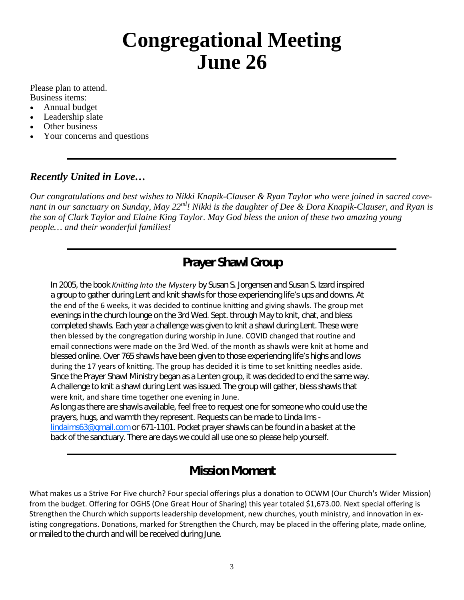# **Congregational Meeting June 26**

Please plan to attend. Business items:

- Annual budget
- Leadership slate
- Other business
- Your concerns and questions

#### *Recently United in Love…*

*Our congratulations and best wishes to Nikki Knapik-Clauser & Ryan Taylor who were joined in sacred covenant in our sanctuary on Sunday, May 22nd! Nikki is the daughter of Dee & Dora Knapik-Clauser, and Ryan is the son of Clark Taylor and Elaine King Taylor. May God bless the union of these two amazing young people… and their wonderful families!*

## **Prayer Shawl Group**

In 2005, the book *Knitting Into the Mystery* by Susan S. Jorgensen and Susan S. Izard inspired a group to gather during Lent and knit shawls for those experiencing life's ups and downs. At the end of the 6 weeks, it was decided to continue knitting and giving shawls. The group met evenings in the church lounge on the 3rd Wed. Sept. through May to knit, chat, and bless completed shawls. Each year a challenge was given to knit a shawl during Lent. These were then blessed by the congregation during worship in June. COVID changed that routine and email connections were made on the 3rd Wed. of the month as shawls were knit at home and blessed online. Over 765 shawls have been given to those experiencing life's highs and lows during the 17 years of knitting. The group has decided it is time to set knitting needles aside. Since the Prayer Shawl Ministry began as a Lenten group, it was decided to end the same way. A challenge to knit a shawl during Lent was issued. The group will gather, bless shawls that were knit, and share time together one evening in June.

As long as there are shawls available, feel free to request one for someone who could use the prayers, hugs, and warmth they represent. Requests can be made to Linda Ims lindaims63@gmail.com or 671-1101. Pocket prayer shawls can be found in a basket at the back of the sanctuary. There are days we could all use one so please help yourself.

## **Mission Moment**

What makes us a Strive For Five church? Four special offerings plus a donation to OCWM (Our Church's Wider Mission) from the budget. Offering for OGHS (One Great Hour of Sharing) this year totaled \$1,673.00. Next special offering is Strengthen the Church which supports leadership development, new churches, youth ministry, and innovation in existing congregations. Donations, marked for Strengthen the Church, may be placed in the offering plate, made online, or mailed to the church and will be received during June.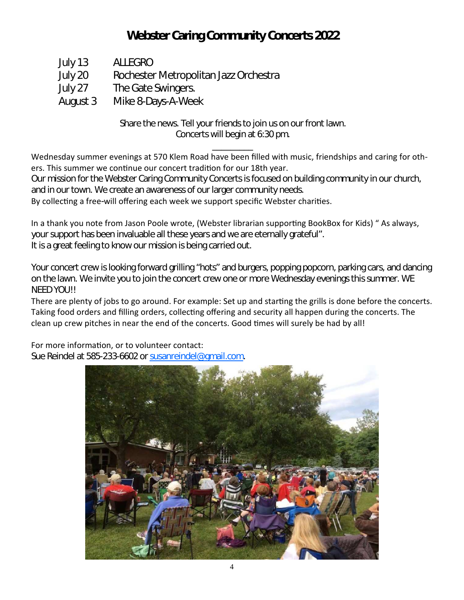# **Webster Caring Community Concerts 2022**

- July 13 ALLEGRO
- July 20 Rochester Metropolitan Jazz Orchestra
- July 27 The Gate Swingers.
- August 3 Mike 8-Days-A-Week

Share the news. Tell your friends to join us on our front lawn. Concerts will begin at 6:30 pm.

\_\_\_\_\_\_\_\_\_

Wednesday summer evenings at 570 Klem Road have been filled with music, friendships and caring for others. This summer we continue our concert tradition for our 18th year.

Our mission for the Webster Caring Community Concerts is focused on building community in our church, and in our town. We create an awareness of our larger community needs.

By collecting a free-will offering each week we support specific Webster charities.

In a thank you note from Jason Poole wrote, (Webster librarian supporting BookBox for Kids) " As always, your support has been invaluable all these years and we are eternally grateful". It is a great feeling to know our mission is being carried out.

Your concert crew is looking forward grilling "hots" and burgers, popping popcorn, parking cars, and dancing on the lawn. We invite you to join the concert crew one or more Wednesday evenings this summer. WE NEED YOU!!

There are plenty of jobs to go around. For example: Set up and starting the grills is done before the concerts. Taking food orders and filling orders, collecting offering and security all happen during the concerts. The clean up crew pitches in near the end of the concerts. Good times will surely be had by all!

For more information, or to volunteer contact: Sue Reindel at 585-233-6602 or susanreindel@gmail.com.

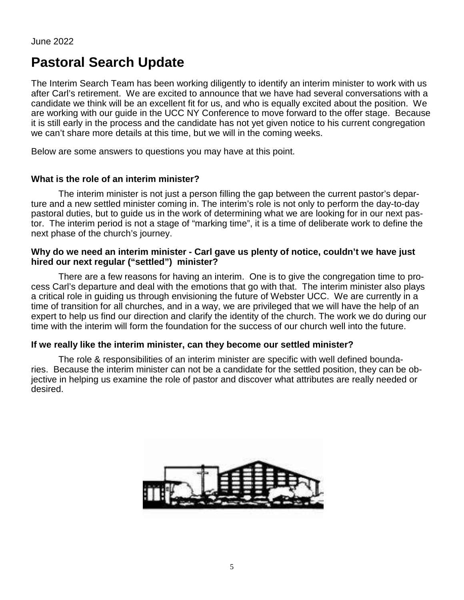# **Pastoral Search Update**

The Interim Search Team has been working diligently to identify an interim minister to work with us after Carl's retirement. We are excited to announce that we have had several conversations with a candidate we think will be an excellent fit for us, and who is equally excited about the position. We are working with our guide in the UCC NY Conference to move forward to the offer stage. Because it is still early in the process and the candidate has not yet given notice to his current congregation we can't share more details at this time, but we will in the coming weeks.

Below are some answers to questions you may have at this point.

#### **What is the role of an interim minister?**

The interim minister is not just a person filling the gap between the current pastor's departure and a new settled minister coming in. The interim's role is not only to perform the day-to-day pastoral duties, but to guide us in the work of determining what we are looking for in our next pastor. The interim period is not a stage of "marking time", it is a time of deliberate work to define the next phase of the church's journey.

#### **Why do we need an interim minister - Carl gave us plenty of notice, couldn't we have just hired our next regular ("settled") minister?**

There are a few reasons for having an interim. One is to give the congregation time to process Carl's departure and deal with the emotions that go with that. The interim minister also plays a critical role in guiding us through envisioning the future of Webster UCC. We are currently in a time of transition for all churches, and in a way, we are privileged that we will have the help of an expert to help us find our direction and clarify the identity of the church. The work we do during our time with the interim will form the foundation for the success of our church well into the future.

#### **If we really like the interim minister, can they become our settled minister?**

The role & responsibilities of an interim minister are specific with well defined boundaries. Because the interim minister can not be a candidate for the settled position, they can be objective in helping us examine the role of pastor and discover what attributes are really needed or desired.

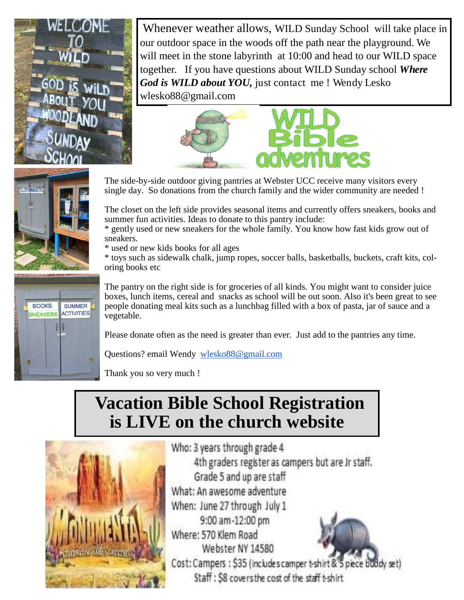

Whenever weather allows, WILD Sunday School will take place in our outdoor space in the woods off the path near the playground. We will meet in the stone labyrinth at 10:00 and head to our WILD space together. If you have questions about WILD Sunday school *Where God is WILD about YOU,* just contact me ! Wendy Lesko wlesko88@gmail.com





**BOOKS** 

NEAKERS

**SUMMER ACTIVITIES** 

The side-by-side outdoor giving pantries at Webster UCC receive many visitors every single day. So donations from the church family and the wider community are needed !

The closet on the left side provides seasonal items and currently offers sneakers, books and summer fun activities. Ideas to donate to this pantry include:

\* gently used or new sneakers for the whole family. You know how fast kids grow out of sneakers.

\* used or new kids books for all ages

\* toys such as sidewalk chalk, jump ropes, soccer balls, basketballs, buckets, craft kits, coloring books etc

The pantry on the right side is for groceries of all kinds. You might want to consider juice boxes, lunch items, cereal and snacks as school will be out soon. Also it's been great to see people donating meal kits such as a lunchbag filled with a box of pasta, jar of sauce and a vegetable.

Please donate often as the need is greater than ever. Just add to the pantries any time.

Questions? email Wendy wlesko88@gmail.com

Thank you so very much !

# **Vacation Bible School Registration is LIVE on the church website**



Who: 3 years through grade 4 4th graders register as campers but are Jr staff. Grade 5 and up are staff What: An awesome adventure When: June 27 through July 1 9:00 am-12:00 pm Where: 570 Klem Road Webster NY 14580 Cost: Campers: \$35 (includes camper t-shirt & 5 piece buddy set)

Staff: \$8 covers the cost of the staff t-shirt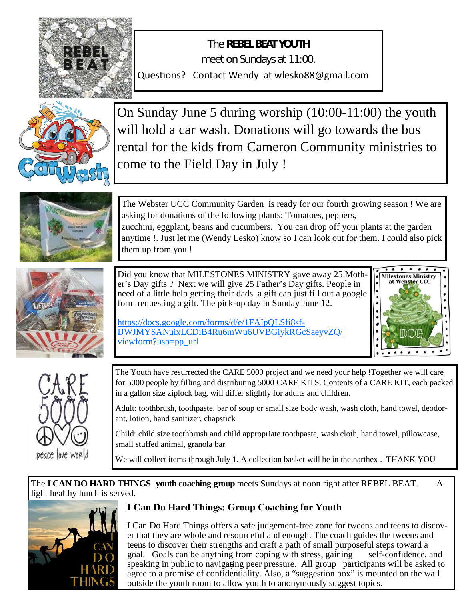

The **REBEL BEAT YOUTH** meet on Sundays at 11:00. Questions? Contact Wendy at wlesko88@gmail.com



On Sunday June 5 during worship (10:00-11:00) the youth will hold a car wash. Donations will go towards the bus rental for the kids from Cameron Community ministries to come to the Field Day in July !



The Webster UCC Community Garden is ready for our fourth growing season ! We are asking for donations of the following plants: Tomatoes, peppers, zucchini, eggplant, beans and cucumbers. You can drop off your plants at the garden anytime !. Just let me (Wendy Lesko) know so I can look out for them. I could also pick them up from you !



Did you know that MILESTONES MINISTRY gave away 25 Mother's Day gifts ? Next we will give 25 Father's Day gifts. People in need of a little help getting their dads a gift can just fill out a google form requesting a gift. The pick-up day in Sunday June 12.

https://docs.google.com/forms/d/e/1FAIpQLSfi8sf-IJWJMYSANuixLCDiB4Ru6mWu6UVBGiykRGcSaeyvZQ/ viewform?usp=pp\_url





The Youth have resurrected the CARE 5000 project and we need your help !Together we will care for 5000 people by filling and distributing 5000 CARE KITS. Contents of a CARE KIT, each packed in a gallon size ziplock bag, will differ slightly for adults and children.

Adult: toothbrush, toothpaste, bar of soup or small size body wash, wash cloth, hand towel, deodorant, lotion, hand sanitizer, chapstick

Child: child size toothbrush and child appropriate toothpaste, wash cloth, hand towel, pillowcase, small stuffed animal, granola bar

We will collect items through July 1. A collection basket will be in the narthex . THANK YOU

The **I CAN DO HARD THINGS youth coaching group** meets Sundays at noon right after REBEL BEAT. A light healthy lunch is served.



## **I Can Do Hard Things: Group Coaching for Youth**

speaking in public to navigating peer pressure. All group participants will be asked to I Can Do Hard Things offers a safe judgement-free zone for tweens and teens to discover that they are whole and resourceful and enough. The coach guides the tweens and teens to discover their strengths and craft a path of small purposeful steps toward a goal. Goals can be anything from coping with stress, gaining self-confidence, and agree to a promise of confidentiality. Also, a "suggestion box" is mounted on the wall outside the youth room to allow youth to anonymously suggest topics.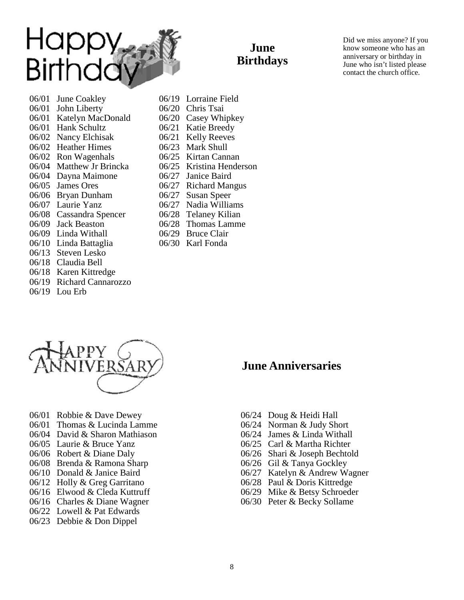

**June Birthdays**

Did we miss anyone? If you know someone who has an anniversary or birthday in June who isn't listed please contact the church office.

- 06/01 June Coakley 06/01 John Liberty 06/01 Katelyn MacDonald 06/01 Hank Schultz 06/02 Nancy Elchisak 06/02 Heather Himes 06/02 Ron Wagenhals 06/04 Matthew Jr Brincka 06/04 Dayna Maimone 06/05 James Ores 06/06 Bryan Dunham 06/07 Laurie Yanz 06/08 Cassandra Spencer 06/09 Jack Beaston 06/09 Linda Withall 06/10 Linda Battaglia 06/13 Steven Lesko 06/18 Claudia Bell 06/18 Karen Kittredge 06/19 Richard Cannarozzo
- 06/19 Lou Erb
- 
- 

06/20 Chris Tsai 06/20 Casey Whipkey 06/21 Katie Breedy 06/21 Kelly Reeves 06/23 Mark Shull 06/25 Kirtan Cannan 06/25 Kristina Henderson 06/27 Janice Baird 06/27 Richard Mangus 06/27 Susan Speer 06/27 Nadia Williams 06/28 Telaney Kilian 06/28 Thomas Lamme 06/29 Bruce Clair 06/30 Karl Fonda

06/19 Lorraine Field

- 06/01 Robbie & Dave Dewey
- 06/01 Thomas & Lucinda Lamme
- 06/04 David & Sharon Mathiason
- 06/05 Laurie & Bruce Yanz
- 06/06 Robert & Diane Daly
- 06/08 Brenda & Ramona Sharp
- 06/10 Donald & Janice Baird
- 06/12 Holly & Greg Garritano
- 06/16 Elwood & Cleda Kuttruff
- 06/16 Charles & Diane Wagner
- 06/22 Lowell & Pat Edwards
- 06/23 Debbie & Don Dippel
- **June Anniversaries**
- 06/24 Doug & Heidi Hall
- 06/24 Norman & Judy Short
- 06/24 James & Linda Withall
- 06/25 Carl & Martha Richter
- 06/26 Shari & Joseph Bechtold
- 06/26 Gil & Tanya Gockley
- 06/27 Katelyn & Andrew Wagner
- 06/28 Paul & Doris Kittredge
- 06/29 Mike & Betsy Schroeder
- 06/30 Peter & Becky Sollame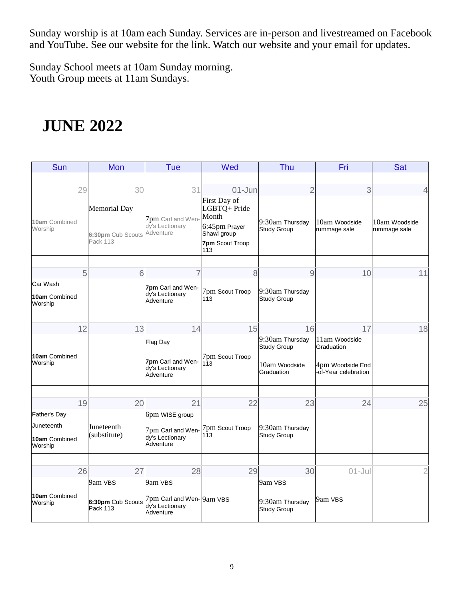Sunday worship is at 10am each Sunday. Services are in-person and livestreamed on Facebook and YouTube. See our website for the link. Watch our website and your email for updates.

Sunday School meets at 10am Sunday morning. Youth Group meets at 11am Sundays.

# **JUNE 2022**

| Sun                                    | Mon                                                  | Tue                                                                        | Wed                                                                                             | Thu                                   | Fri                                     | <b>Sat</b>                    |
|----------------------------------------|------------------------------------------------------|----------------------------------------------------------------------------|-------------------------------------------------------------------------------------------------|---------------------------------------|-----------------------------------------|-------------------------------|
| 29                                     | 30                                                   | 31                                                                         | $01 - Jun$                                                                                      | $\overline{2}$                        | 3                                       | 4                             |
| 10am Combined<br>Worship               | <b>Memorial Day</b><br>6:30pm Cub Scouts<br>Pack 113 | 7pm Carl and Wen-<br>dy's Lectionary<br>Adventure                          | First Day of<br>LGBTQ+ Pride<br>Month<br>6:45pm Prayer<br>Shawl group<br>7pm Scout Troop<br>113 | 9:30am Thursday<br><b>Study Group</b> | 10am Woodside<br>rummage sale           | 10am Woodside<br>rummage sale |
| 5                                      | 6                                                    | 7                                                                          | 8                                                                                               | 9                                     | 10                                      | 11                            |
| Car Wash<br>10am Combined<br>Worship   |                                                      | 7pm Carl and Wen-<br>dy's Lectionary<br>Adventure                          | 7pm Scout Troop<br>113                                                                          | 9:30am Thursday<br><b>Study Group</b> |                                         |                               |
| 12                                     | 13                                                   | 14                                                                         | 15                                                                                              | 16                                    | 17                                      | 18                            |
|                                        |                                                      | Flag Day                                                                   |                                                                                                 | 9:30am Thursday<br><b>Study Group</b> | 11am Woodside<br>Graduation             |                               |
| 10am Combined<br>Worship               |                                                      | 7pm Carl and Wen-<br>dy's Lectionary<br>Adventure                          | 7pm Scout Troop<br>113                                                                          | 10am Woodside<br>Graduation           | 4pm Woodside End<br>of-Year celebration |                               |
| 19                                     | 20                                                   | 21                                                                         | 22                                                                                              | 23                                    | 24                                      | 25                            |
| Father's Day                           |                                                      | 6pm WISE group                                                             |                                                                                                 |                                       |                                         |                               |
| Juneteenth<br>10am Combined<br>Worship | Juneteenth<br>(substitute)                           | 7pm Carl and Wen-<br>dy's Lectionary<br>Adventure                          | 7pm Scout Troop<br>113                                                                          | 9:30am Thursday<br><b>Study Group</b> |                                         |                               |
|                                        |                                                      |                                                                            |                                                                                                 |                                       |                                         |                               |
| 26                                     | 27<br>9am VBS                                        | 28<br>9am VBS                                                              | 29                                                                                              | 30<br>9am VBS                         | $01 -$ Jul                              | 2                             |
| 10am Combined<br>Worship               | Pack 113                                             | 6:30pm Cub Scouts 7pm Carl and Wen-9am VBS<br>dy's Lectionary<br>Adventure |                                                                                                 | 9:30am Thursday<br><b>Study Group</b> | 9am VBS                                 |                               |